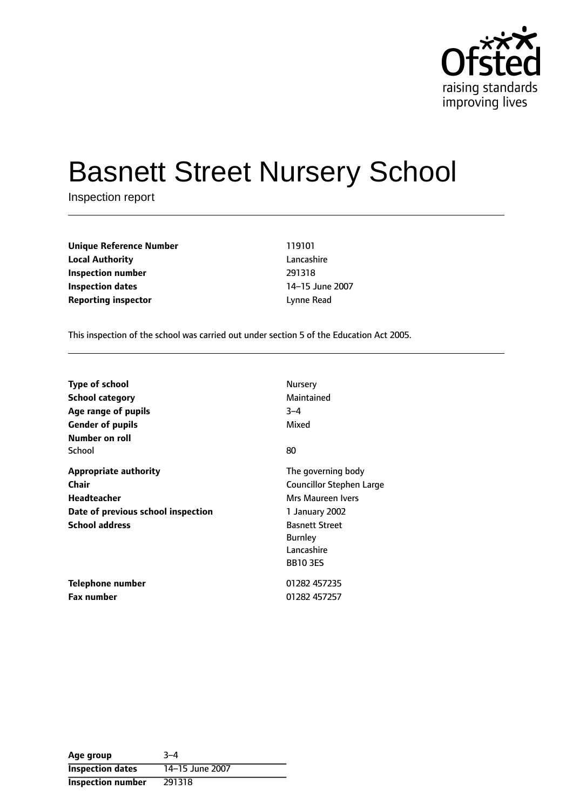

# Basnett Street Nursery School

Inspection report

**Unique Reference Number** 119101 **Local Authority** Lancashire **Inspection number** 291318 **Inspection dates** 14-15 June 2007 **Reporting inspector CONFIDENTIAL EXECUTES Lynne Read** 

This inspection of the school was carried out under section 5 of the Education Act 2005.

| <b>Type of school</b>              | <b>Nursery</b>                  |
|------------------------------------|---------------------------------|
| <b>School category</b>             | Maintained                      |
| Age range of pupils                | $3 - 4$                         |
| <b>Gender of pupils</b>            | Mixed                           |
| Number on roll                     |                                 |
| School                             | 80                              |
| <b>Appropriate authority</b>       | The governing body              |
| Chair                              | <b>Councillor Stephen Large</b> |
| <b>Headteacher</b>                 | Mrs Maureen Ivers               |
| Date of previous school inspection | 1 January 2002                  |
| <b>School address</b>              | <b>Basnett Street</b>           |
|                                    | <b>Burnley</b>                  |
|                                    | Lancashire                      |
|                                    | <b>BB103ES</b>                  |
| Telephone number                   | 01282 457235                    |
| <b>Fax number</b>                  | 01282 457257                    |

| Age group                | $3 - 4$         |
|--------------------------|-----------------|
| <b>Inspection dates</b>  | 14-15 June 2007 |
| <b>Inspection number</b> | 291318          |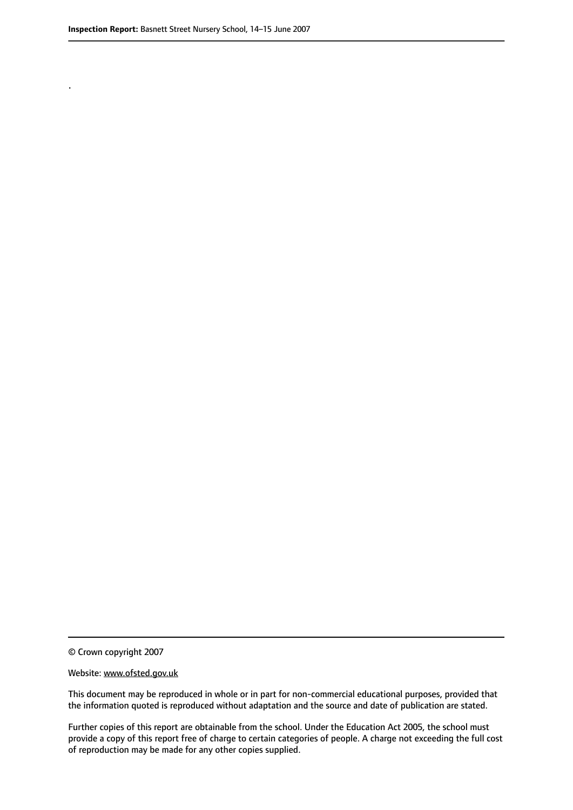.

© Crown copyright 2007

#### Website: www.ofsted.gov.uk

This document may be reproduced in whole or in part for non-commercial educational purposes, provided that the information quoted is reproduced without adaptation and the source and date of publication are stated.

Further copies of this report are obtainable from the school. Under the Education Act 2005, the school must provide a copy of this report free of charge to certain categories of people. A charge not exceeding the full cost of reproduction may be made for any other copies supplied.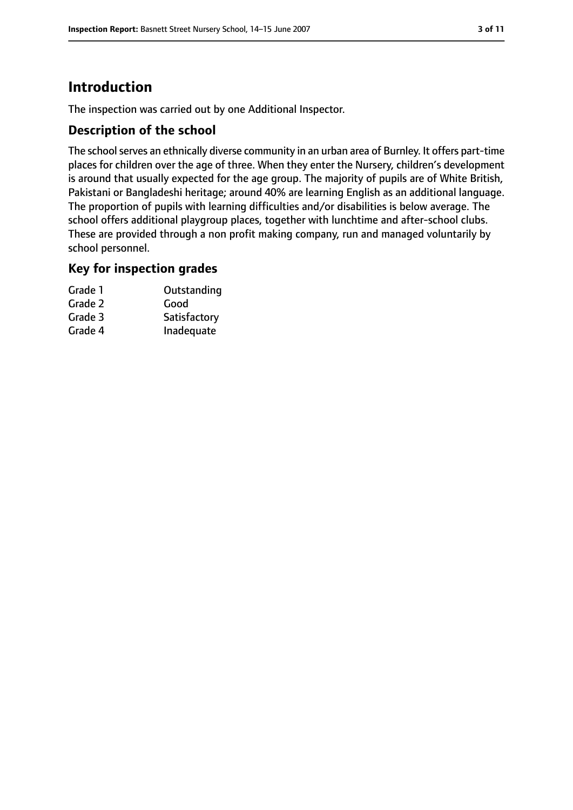# **Introduction**

The inspection was carried out by one Additional Inspector.

## **Description of the school**

The school serves an ethnically diverse community in an urban area of Burnley. It offers part-time places for children over the age of three. When they enter the Nursery, children's development is around that usually expected for the age group. The majority of pupils are of White British, Pakistani or Bangladeshi heritage; around 40% are learning English as an additional language. The proportion of pupils with learning difficulties and/or disabilities is below average. The school offers additional playgroup places, together with lunchtime and after-school clubs. These are provided through a non profit making company, run and managed voluntarily by school personnel.

### **Key for inspection grades**

| Grade 1 | Outstanding  |
|---------|--------------|
| Grade 2 | Good         |
| Grade 3 | Satisfactory |
| Grade 4 | Inadequate   |
|         |              |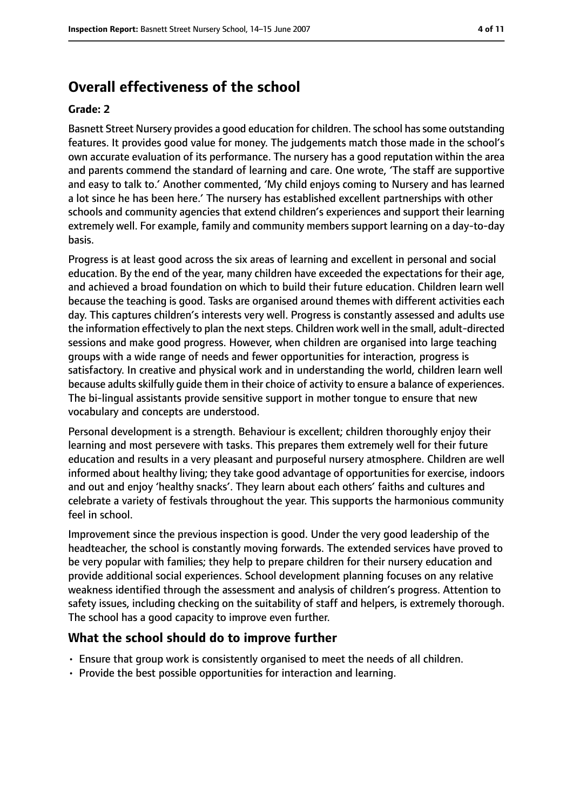## **Overall effectiveness of the school**

#### **Grade: 2**

Basnett Street Nursery provides a good education for children. The school hassome outstanding features. It provides good value for money. The judgements match those made in the school's own accurate evaluation of its performance. The nursery has a good reputation within the area and parents commend the standard of learning and care. One wrote, 'The staff are supportive and easy to talk to.' Another commented, 'My child enjoys coming to Nursery and has learned a lot since he has been here.' The nursery has established excellent partnerships with other schools and community agencies that extend children's experiences and support their learning extremely well. For example, family and community members support learning on a day-to-day basis.

Progress is at least good across the six areas of learning and excellent in personal and social education. By the end of the year, many children have exceeded the expectations for their age, and achieved a broad foundation on which to build their future education. Children learn well because the teaching is good. Tasks are organised around themes with different activities each day. This captures children's interests very well. Progress is constantly assessed and adults use the information effectively to plan the next steps. Children work well in the small, adult-directed sessions and make good progress. However, when children are organised into large teaching groups with a wide range of needs and fewer opportunities for interaction, progress is satisfactory. In creative and physical work and in understanding the world, children learn well because adultsskilfully guide them in their choice of activity to ensure a balance of experiences. The bi-lingual assistants provide sensitive support in mother tongue to ensure that new vocabulary and concepts are understood.

Personal development is a strength. Behaviour is excellent; children thoroughly enjoy their learning and most persevere with tasks. This prepares them extremely well for their future education and results in a very pleasant and purposeful nursery atmosphere. Children are well informed about healthy living; they take good advantage of opportunities for exercise, indoors and out and enjoy 'healthy snacks'. They learn about each others' faiths and cultures and celebrate a variety of festivals throughout the year. This supports the harmonious community feel in school.

Improvement since the previous inspection is good. Under the very good leadership of the headteacher, the school is constantly moving forwards. The extended services have proved to be very popular with families; they help to prepare children for their nursery education and provide additional social experiences. School development planning focuses on any relative weakness identified through the assessment and analysis of children's progress. Attention to safety issues, including checking on the suitability of staff and helpers, is extremely thorough. The school has a good capacity to improve even further.

#### **What the school should do to improve further**

- Ensure that group work is consistently organised to meet the needs of all children.
- Provide the best possible opportunities for interaction and learning.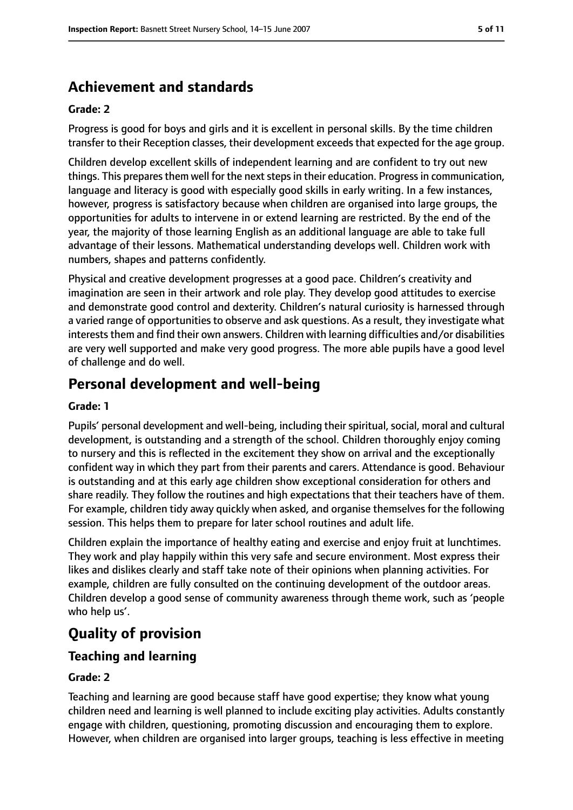## **Achievement and standards**

#### **Grade: 2**

Progress is good for boys and girls and it is excellent in personal skills. By the time children transfer to their Reception classes, their development exceeds that expected for the age group.

Children develop excellent skills of independent learning and are confident to try out new things. This prepares them well for the next steps in their education. Progress in communication, language and literacy is good with especially good skills in early writing. In a few instances, however, progress is satisfactory because when children are organised into large groups, the opportunities for adults to intervene in or extend learning are restricted. By the end of the year, the majority of those learning English as an additional language are able to take full advantage of their lessons. Mathematical understanding develops well. Children work with numbers, shapes and patterns confidently.

Physical and creative development progresses at a good pace. Children's creativity and imagination are seen in their artwork and role play. They develop good attitudes to exercise and demonstrate good control and dexterity. Children's natural curiosity is harnessed through a varied range of opportunities to observe and ask questions. As a result, they investigate what interests them and find their own answers. Children with learning difficulties and/or disabilities are very well supported and make very good progress. The more able pupils have a good level of challenge and do well.

## **Personal development and well-being**

#### **Grade: 1**

Pupils' personal development and well-being, including their spiritual, social, moral and cultural development, is outstanding and a strength of the school. Children thoroughly enjoy coming to nursery and this is reflected in the excitement they show on arrival and the exceptionally confident way in which they part from their parents and carers. Attendance is good. Behaviour is outstanding and at this early age children show exceptional consideration for others and share readily. They follow the routines and high expectations that their teachers have of them. For example, children tidy away quickly when asked, and organise themselves for the following session. This helps them to prepare for later school routines and adult life.

Children explain the importance of healthy eating and exercise and enjoy fruit at lunchtimes. They work and play happily within this very safe and secure environment. Most express their likes and dislikes clearly and staff take note of their opinions when planning activities. For example, children are fully consulted on the continuing development of the outdoor areas. Children develop a good sense of community awareness through theme work, such as 'people who help us'.

# **Quality of provision**

## **Teaching and learning**

#### **Grade: 2**

Teaching and learning are good because staff have good expertise; they know what young children need and learning is well planned to include exciting play activities. Adults constantly engage with children, questioning, promoting discussion and encouraging them to explore. However, when children are organised into larger groups, teaching is less effective in meeting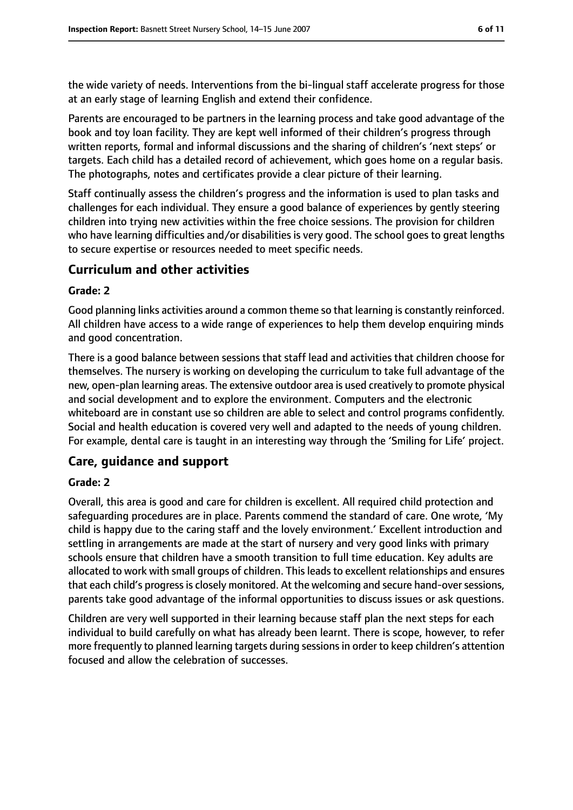the wide variety of needs. Interventions from the bi-lingual staff accelerate progress for those at an early stage of learning English and extend their confidence.

Parents are encouraged to be partners in the learning process and take good advantage of the book and toy loan facility. They are kept well informed of their children's progress through written reports, formal and informal discussions and the sharing of children's 'next steps' or targets. Each child has a detailed record of achievement, which goes home on a regular basis. The photographs, notes and certificates provide a clear picture of their learning.

Staff continually assess the children's progress and the information is used to plan tasks and challenges for each individual. They ensure a good balance of experiences by gently steering children into trying new activities within the free choice sessions. The provision for children who have learning difficulties and/or disabilities is very good. The school goes to great lengths to secure expertise or resources needed to meet specific needs.

### **Curriculum and other activities**

#### **Grade: 2**

Good planning links activities around a common theme so that learning is constantly reinforced. All children have access to a wide range of experiences to help them develop enquiring minds and good concentration.

There is a good balance between sessions that staff lead and activities that children choose for themselves. The nursery is working on developing the curriculum to take full advantage of the new, open-plan learning areas. The extensive outdoor area is used creatively to promote physical and social development and to explore the environment. Computers and the electronic whiteboard are in constant use so children are able to select and control programs confidently. Social and health education is covered very well and adapted to the needs of young children. For example, dental care is taught in an interesting way through the 'Smiling for Life' project.

## **Care, guidance and support**

#### **Grade: 2**

Overall, this area is good and care for children is excellent. All required child protection and safeguarding procedures are in place. Parents commend the standard of care. One wrote, 'My child is happy due to the caring staff and the lovely environment.' Excellent introduction and settling in arrangements are made at the start of nursery and very good links with primary schools ensure that children have a smooth transition to full time education. Key adults are allocated to work with small groups of children. This leads to excellent relationships and ensures that each child's progress is closely monitored. At the welcoming and secure hand-over sessions, parents take good advantage of the informal opportunities to discuss issues or ask questions.

Children are very well supported in their learning because staff plan the next steps for each individual to build carefully on what has already been learnt. There is scope, however, to refer more frequently to planned learning targets during sessions in order to keep children's attention focused and allow the celebration of successes.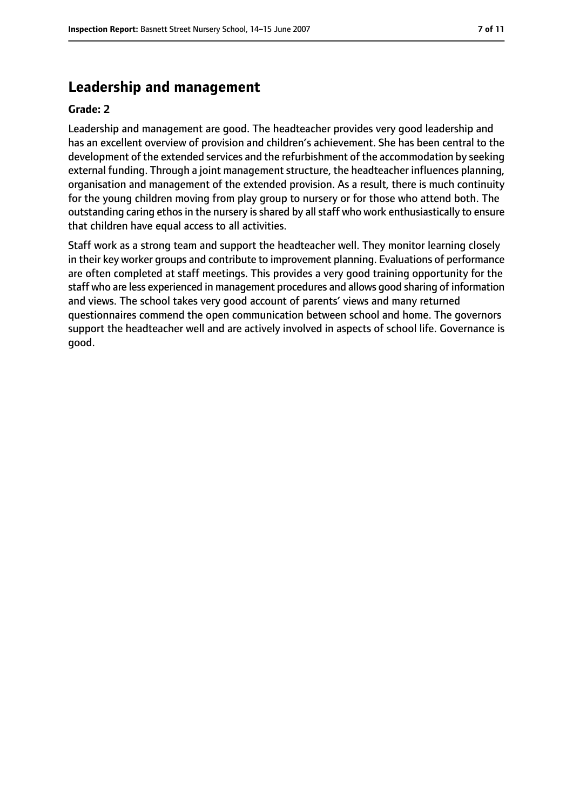## **Leadership and management**

#### **Grade: 2**

Leadership and management are good. The headteacher provides very good leadership and has an excellent overview of provision and children's achievement. She has been central to the development of the extended services and the refurbishment of the accommodation by seeking external funding. Through a joint management structure, the headteacher influences planning, organisation and management of the extended provision. As a result, there is much continuity for the young children moving from play group to nursery or for those who attend both. The outstanding caring ethos in the nursery is shared by all staff who work enthusiastically to ensure that children have equal access to all activities.

Staff work as a strong team and support the headteacher well. They monitor learning closely in their key worker groups and contribute to improvement planning. Evaluations of performance are often completed at staff meetings. This provides a very good training opportunity for the staff who are less experienced in management procedures and allows good sharing of information and views. The school takes very good account of parents' views and many returned questionnaires commend the open communication between school and home. The governors support the headteacher well and are actively involved in aspects of school life. Governance is good.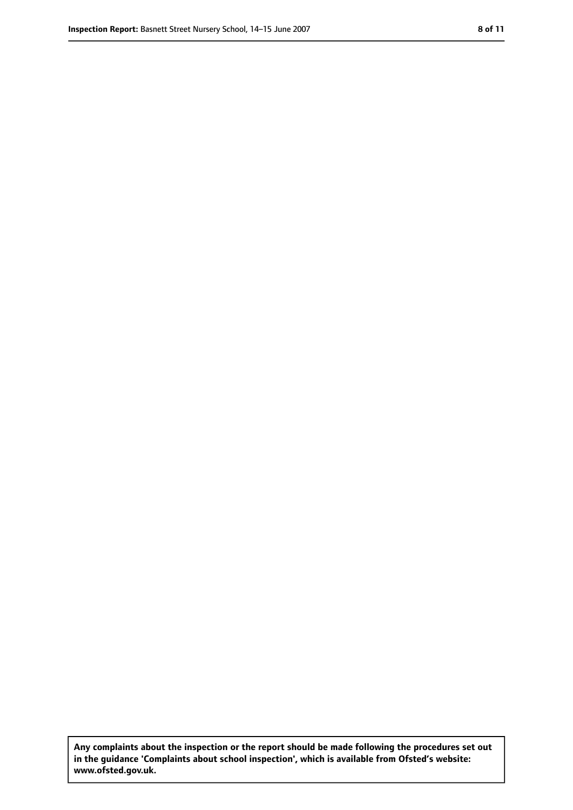**Any complaints about the inspection or the report should be made following the procedures set out in the guidance 'Complaints about school inspection', which is available from Ofsted's website: www.ofsted.gov.uk.**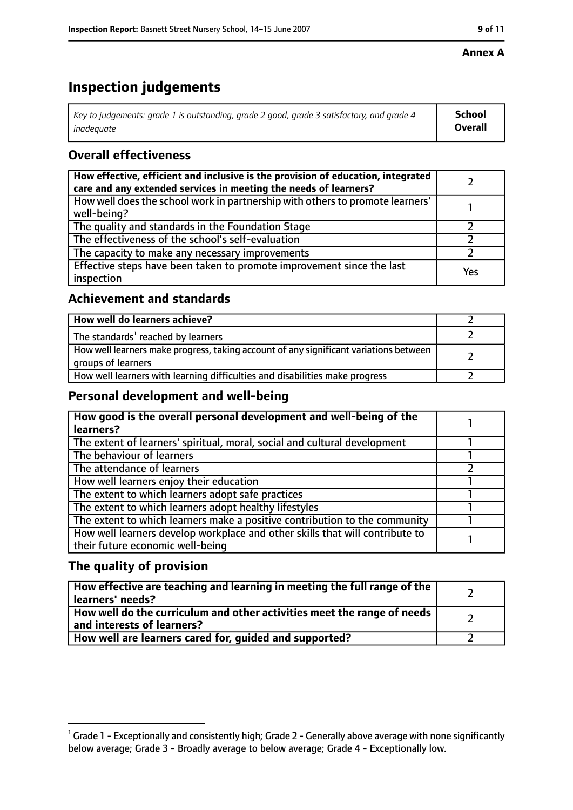#### **Annex A**

# **Inspection judgements**

| Key to judgements: grade 1 is outstanding, grade 2 good, grade 3 satisfactory, and grade 4 $\,$ | <b>School</b>  |
|-------------------------------------------------------------------------------------------------|----------------|
| inadequate                                                                                      | <b>Overall</b> |

## **Overall effectiveness**

| How effective, efficient and inclusive is the provision of education, integrated<br>care and any extended services in meeting the needs of learners? |     |
|------------------------------------------------------------------------------------------------------------------------------------------------------|-----|
| How well does the school work in partnership with others to promote learners'<br>well-being?                                                         |     |
| The quality and standards in the Foundation Stage                                                                                                    |     |
| The effectiveness of the school's self-evaluation                                                                                                    |     |
| The capacity to make any necessary improvements                                                                                                      |     |
| Effective steps have been taken to promote improvement since the last<br>inspection                                                                  | Yes |

## **Achievement and standards**

| How well do learners achieve?                                                                               |  |
|-------------------------------------------------------------------------------------------------------------|--|
| The standards <sup>1</sup> reached by learners                                                              |  |
| How well learners make progress, taking account of any significant variations between<br>groups of learners |  |
| How well learners with learning difficulties and disabilities make progress                                 |  |

## **Personal development and well-being**

| How good is the overall personal development and well-being of the<br>learners? |  |
|---------------------------------------------------------------------------------|--|
|                                                                                 |  |
| The extent of learners' spiritual, moral, social and cultural development       |  |
| The behaviour of learners                                                       |  |
| The attendance of learners                                                      |  |
| How well learners enjoy their education                                         |  |
| The extent to which learners adopt safe practices                               |  |
| The extent to which learners adopt healthy lifestyles                           |  |
| The extent to which learners make a positive contribution to the community      |  |
| How well learners develop workplace and other skills that will contribute to    |  |
| their future economic well-being                                                |  |

## **The quality of provision**

| How effective are teaching and learning in meeting the full range of the<br>learners' needs?          |  |
|-------------------------------------------------------------------------------------------------------|--|
| How well do the curriculum and other activities meet the range of needs<br>and interests of learners? |  |
| How well are learners cared for, quided and supported?                                                |  |

 $^1$  Grade 1 - Exceptionally and consistently high; Grade 2 - Generally above average with none significantly below average; Grade 3 - Broadly average to below average; Grade 4 - Exceptionally low.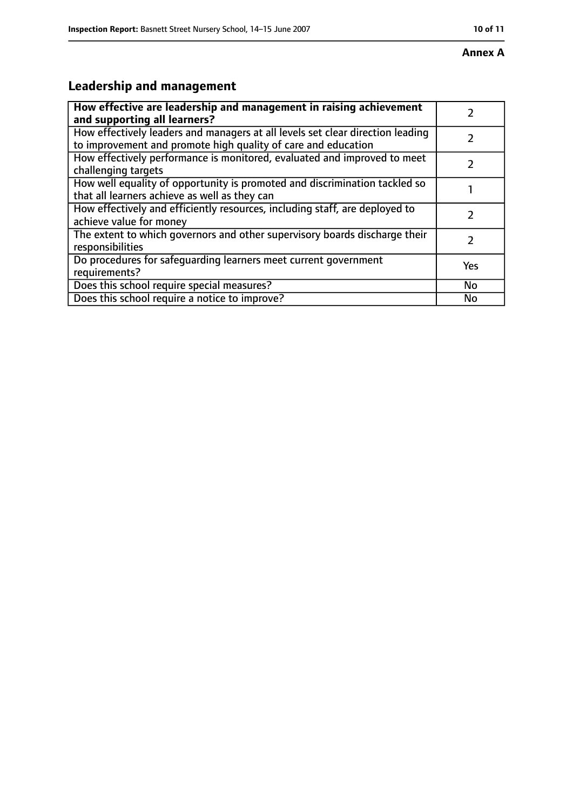# **Leadership and management**

| How effective are leadership and management in raising achievement<br>and supporting all learners?                                              |           |
|-------------------------------------------------------------------------------------------------------------------------------------------------|-----------|
| How effectively leaders and managers at all levels set clear direction leading<br>to improvement and promote high quality of care and education |           |
| How effectively performance is monitored, evaluated and improved to meet<br>challenging targets                                                 |           |
| How well equality of opportunity is promoted and discrimination tackled so<br>that all learners achieve as well as they can                     |           |
| How effectively and efficiently resources, including staff, are deployed to<br>achieve value for money                                          |           |
| The extent to which governors and other supervisory boards discharge their<br>responsibilities                                                  | 7         |
| Do procedures for safequarding learners meet current government<br>requirements?                                                                | Yes       |
| Does this school require special measures?                                                                                                      | <b>No</b> |
| Does this school require a notice to improve?                                                                                                   | No        |